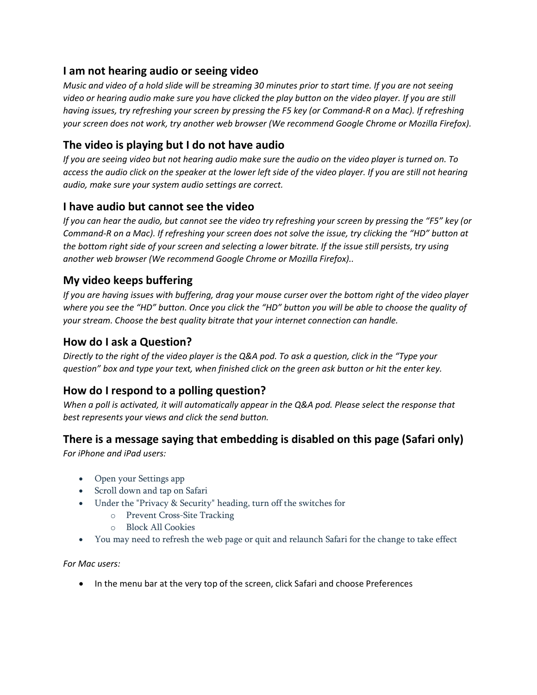### I am not hearing audio or seeing video

Music and video of a hold slide will be streaming 30 minutes prior to start time. If you are not seeing video or hearing audio make sure you have clicked the play button on the video player. If you are still having issues, try refreshing your screen by pressing the F5 key (or Command-R on a Mac). If refreshing your screen does not work, try another web browser (We recommend Google Chrome or Mozilla Firefox).

# The video is playing but I do not have audio

If you are seeing video but not hearing audio make sure the audio on the video player is turned on. To access the audio click on the speaker at the lower left side of the video player. If you are still not hearing audio, make sure your system audio settings are correct.

# I have audio but cannot see the video

If you can hear the audio, but cannot see the video try refreshing your screen by pressing the "F5" key (or Command-R on a Mac). If refreshing your screen does not solve the issue, try clicking the "HD" button at the bottom right side of your screen and selecting a lower bitrate. If the issue still persists, try using another web browser (We recommend Google Chrome or Mozilla Firefox)..

# My video keeps buffering

If you are having issues with buffering, drag your mouse curser over the bottom right of the video player where you see the "HD" button. Once you click the "HD" button you will be able to choose the quality of your stream. Choose the best quality bitrate that your internet connection can handle.

### How do I ask a Question?

Directly to the right of the video player is the Q&A pod. To ask a question, click in the "Type your question" box and type your text, when finished click on the green ask button or hit the enter key.

#### How do I respond to a polling question?

When a poll is activated, it will automatically appear in the Q&A pod. Please select the response that best represents your views and click the send button.

#### There is a message saying that embedding is disabled on this page (Safari only)

For iPhone and iPad users:

- Open your Settings app
- Scroll down and tap on Safari
- Under the "Privacy & Security" heading, turn off the switches for
	- o Prevent Cross-Site Tracking
	- o Block All Cookies
- You may need to refresh the web page or quit and relaunch Safari for the change to take effect

For Mac users:

• In the menu bar at the very top of the screen, click Safari and choose Preferences